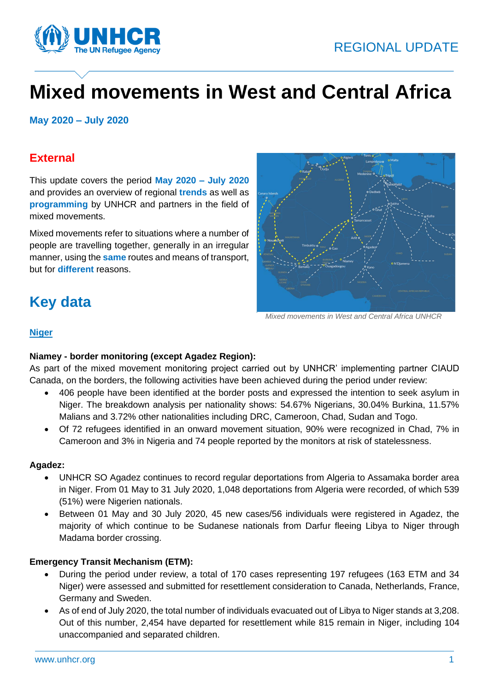



# **Mixed movements in West and Central Africa**

**May 2020 – July 2020**

### **External**

This update covers the period **May 2020 – July 2020** and provides an overview of regional **trends** as well as **programming** by UNHCR and partners in the field of mixed movements.

Mixed movements refer to situations where a number of people are travelling together, generally in an irregular manner, using the **same** routes and means of transport, but for **different** reasons.

## **Key data**



 *Mixed movements in West and Central Africa UNHCR*

#### **Niger**

#### **Niamey - border monitoring (except Agadez Region):**

As part of the mixed movement monitoring project carried out by UNHCR' implementing partner CIAUD Canada, on the borders, the following activities have been achieved during the period under review:

- 406 people have been identified at the border posts and expressed the intention to seek asylum in Niger. The breakdown analysis per nationality shows: 54.67% Nigerians, 30.04% Burkina, 11.57% Malians and 3.72% other nationalities including DRC, Cameroon, Chad, Sudan and Togo.
- Of 72 refugees identified in an onward movement situation, 90% were recognized in Chad, 7% in Cameroon and 3% in Nigeria and 74 people reported by the monitors at risk of statelessness.

#### **Agadez:**

- UNHCR SO Agadez continues to record regular deportations from Algeria to Assamaka border area in Niger. From 01 May to 31 July 2020, 1,048 deportations from Algeria were recorded, of which 539 (51%) were Nigerien nationals.
- Between 01 May and 30 July 2020, 45 new cases/56 individuals were registered in Agadez, the majority of which continue to be Sudanese nationals from Darfur fleeing Libya to Niger through Madama border crossing.

#### **Emergency Transit Mechanism (ETM):**

- During the period under review, a total of 170 cases representing 197 refugees (163 ETM and 34 Niger) were assessed and submitted for resettlement consideration to Canada, Netherlands, France, Germany and Sweden.
- As of end of July 2020, the total number of individuals evacuated out of Libya to Niger stands at 3,208. Out of this number, 2,454 have departed for resettlement while 815 remain in Niger, including 104 unaccompanied and separated children.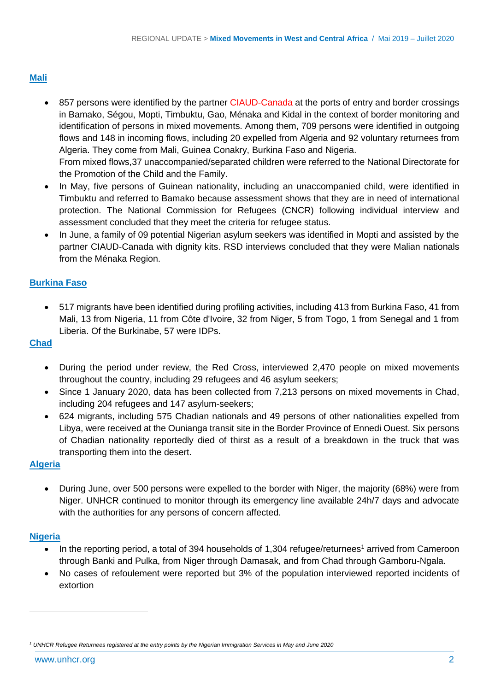#### **Mali**

- 857 persons were identified by the partner CIAUD-Canada at the ports of entry and border crossings in Bamako, Ségou, Mopti, Timbuktu, Gao, Ménaka and Kidal in the context of border monitoring and identification of persons in mixed movements. Among them, 709 persons were identified in outgoing flows and 148 in incoming flows, including 20 expelled from Algeria and 92 voluntary returnees from Algeria. They come from Mali, Guinea Conakry, Burkina Faso and Nigeria. From mixed flows,37 unaccompanied/separated children were referred to the National Directorate for
- the Promotion of the Child and the Family. • In May, five persons of Guinean nationality, including an unaccompanied child, were identified in Timbuktu and referred to Bamako because assessment shows that they are in need of international protection. The National Commission for Refugees (CNCR) following individual interview and assessment concluded that they meet the criteria for refugee status.
- In June, a family of 09 potential Nigerian asylum seekers was identified in Mopti and assisted by the partner CIAUD-Canada with dignity kits. RSD interviews concluded that they were Malian nationals from the Ménaka Region.

#### **Burkina Faso**

• 517 migrants have been identified during profiling activities, including 413 from Burkina Faso, 41 from Mali, 13 from Nigeria, 11 from Côte d'Ivoire, 32 from Niger, 5 from Togo, 1 from Senegal and 1 from Liberia. Of the Burkinabe, 57 were IDPs.

#### **Chad**

- During the period under review, the Red Cross, interviewed 2,470 people on mixed movements throughout the country, including 29 refugees and 46 asylum seekers;
- Since 1 January 2020, data has been collected from 7,213 persons on mixed movements in Chad, including 204 refugees and 147 asylum-seekers;
- 624 migrants, including 575 Chadian nationals and 49 persons of other nationalities expelled from Libya, were received at the Ounianga transit site in the Border Province of Ennedi Ouest. Six persons of Chadian nationality reportedly died of thirst as a result of a breakdown in the truck that was transporting them into the desert.

#### **Algeria**

• During June, over 500 persons were expelled to the border with Niger, the majority (68%) were from Niger. UNHCR continued to monitor through its emergency line available 24h/7 days and advocate with the authorities for any persons of concern affected.

#### **Nigeria**

- In the reporting period, a total of 394 households of  $1,304$  refugee/returnees<sup>1</sup> arrived from Cameroon through Banki and Pulka, from Niger through Damasak, and from Chad through Gamboru-Ngala.
- No cases of refoulement were reported but 3% of the population interviewed reported incidents of extortion

*<sup>1</sup> UNHCR Refugee Returnees registered at the entry points by the Nigerian Immigration Services in May and June 2020*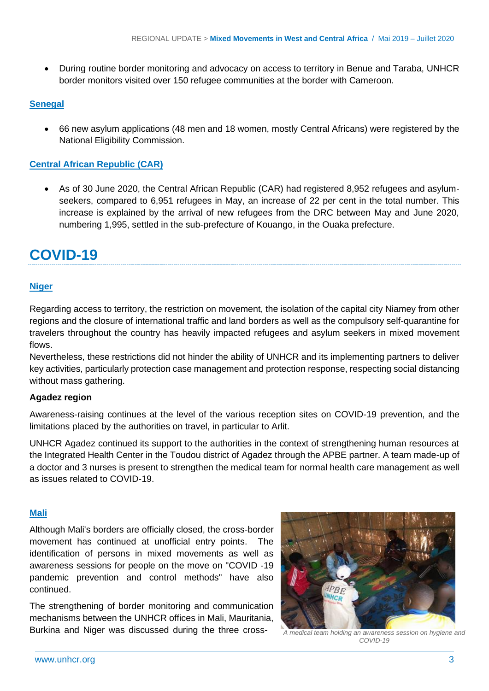• During routine border monitoring and advocacy on access to territory in Benue and Taraba, UNHCR border monitors visited over 150 refugee communities at the border with Cameroon.

#### **Senegal**

• 66 new asylum applications (48 men and 18 women, mostly Central Africans) were registered by the National Eligibility Commission.

#### **Central African Republic (CAR)**

• As of 30 June 2020, the Central African Republic (CAR) had registered 8,952 refugees and asylumseekers, compared to 6,951 refugees in May, an increase of 22 per cent in the total number. This increase is explained by the arrival of new refugees from the DRC between May and June 2020, numbering 1,995, settled in the sub-prefecture of Kouango, in the Ouaka prefecture.

### **COVID-19**

#### **Niger**

Regarding access to territory, the restriction on movement, the isolation of the capital city Niamey from other regions and the closure of international traffic and land borders as well as the compulsory self-quarantine for travelers throughout the country has heavily impacted refugees and asylum seekers in mixed movement flows.

Nevertheless, these restrictions did not hinder the ability of UNHCR and its implementing partners to deliver key activities, particularly protection case management and protection response, respecting social distancing without mass gathering.

#### **Agadez region**

Awareness-raising continues at the level of the various reception sites on COVID-19 prevention, and the limitations placed by the authorities on travel, in particular to Arlit.

UNHCR Agadez continued its support to the authorities in the context of strengthening human resources at the Integrated Health Center in the Toudou district of Agadez through the APBE partner. A team made-up of a doctor and 3 nurses is present to strengthen the medical team for normal health care management as well as issues related to COVID-19.

#### **Mali**

Although Mali's borders are officially closed, the cross-border movement has continued at unofficial entry points. The identification of persons in mixed movements as well as awareness sessions for people on the move on "COVID -19 pandemic prevention and control methods" have also continued.

The strengthening of border monitoring and communication mechanisms between the UNHCR offices in Mali, Mauritania, Burkina and Niger was discussed during the three cross- *A medical team holding an awareness session on hygiene and* 



*COVID-19*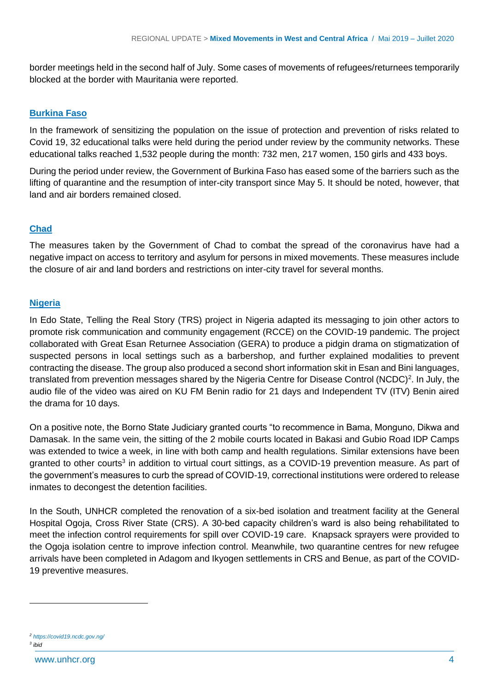border meetings held in the second half of July. Some cases of movements of refugees/returnees temporarily blocked at the border with Mauritania were reported.

#### **Burkina Faso**

In the framework of sensitizing the population on the issue of protection and prevention of risks related to Covid 19, 32 educational talks were held during the period under review by the community networks. These educational talks reached 1,532 people during the month: 732 men, 217 women, 150 girls and 433 boys.

During the period under review, the Government of Burkina Faso has eased some of the barriers such as the lifting of quarantine and the resumption of inter-city transport since May 5. It should be noted, however, that land and air borders remained closed.

#### **Chad**

The measures taken by the Government of Chad to combat the spread of the coronavirus have had a negative impact on access to territory and asylum for persons in mixed movements. These measures include the closure of air and land borders and restrictions on inter-city travel for several months.

#### **Nigeria**

In Edo State, Telling the Real Story (TRS) project in Nigeria adapted its messaging to join other actors to promote risk communication and community engagement (RCCE) on the COVID-19 pandemic. The project collaborated with Great Esan Returnee Association (GERA) to produce a pidgin drama on stigmatization of suspected persons in local settings such as a barbershop, and further explained modalities to prevent contracting the disease. The group also produced a second short information skit in Esan and Bini languages, translated from prevention messages shared by the Nigeria Centre for Disease Control (NCDC)<sup>2</sup>. In July, the audio file of the video was aired on KU FM Benin radio for 21 days and Independent TV (ITV) Benin aired the drama for 10 days.

On a positive note, the Borno State Judiciary granted courts "to recommence in Bama, Monguno, Dikwa and Damasak. In the same vein, the sitting of the 2 mobile courts located in Bakasi and Gubio Road IDP Camps was extended to twice a week, in line with both camp and health regulations. Similar extensions have been granted to other courts<sup>3</sup> in addition to virtual court sittings, as a COVID-19 prevention measure. As part of the government's measures to curb the spread of COVID-19, correctional institutions were ordered to release inmates to decongest the detention facilities.

In the South, UNHCR completed the renovation of a six-bed isolation and treatment facility at the General Hospital Ogoja, Cross River State (CRS). A 30-bed capacity children's ward is also being rehabilitated to meet the infection control requirements for spill over COVID-19 care. Knapsack sprayers were provided to the Ogoja isolation centre to improve infection control. Meanwhile, two quarantine centres for new refugee arrivals have been completed in Adagom and Ikyogen settlements in CRS and Benue, as part of the COVID-19 preventive measures.

*3 ibid*

*<sup>2</sup> <https://covid19.ncdc.gov.ng/>*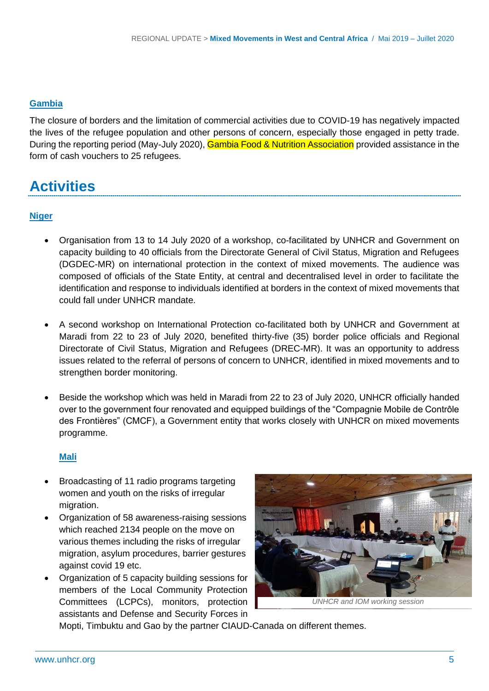#### **Gambia**

The closure of borders and the limitation of commercial activities due to COVID-19 has negatively impacted the lives of the refugee population and other persons of concern, especially those engaged in petty trade. During the reporting period (May-July 2020), Gambia Food & Nutrition Association provided assistance in the form of cash vouchers to 25 refugees.

### **Activities**

#### **Niger**

- Organisation from 13 to 14 July 2020 of a workshop, co-facilitated by UNHCR and Government on capacity building to 40 officials from the Directorate General of Civil Status, Migration and Refugees (DGDEC-MR) on international protection in the context of mixed movements. The audience was composed of officials of the State Entity, at central and decentralised level in order to facilitate the identification and response to individuals identified at borders in the context of mixed movements that could fall under UNHCR mandate.
- A second workshop on International Protection co-facilitated both by UNHCR and Government at Maradi from 22 to 23 of July 2020, benefited thirty-five (35) border police officials and Regional Directorate of Civil Status, Migration and Refugees (DREC-MR). It was an opportunity to address issues related to the referral of persons of concern to UNHCR, identified in mixed movements and to strengthen border monitoring.
- Beside the workshop which was held in Maradi from 22 to 23 of July 2020, UNHCR officially handed over to the government four renovated and equipped buildings of the "Compagnie Mobile de Contrôle des Frontières" (CMCF), a Government entity that works closely with UNHCR on mixed movements programme.

#### **Mali**

- Broadcasting of 11 radio programs targeting women and youth on the risks of irregular migration.
- Organization of 58 awareness-raising sessions which reached 2134 people on the move on various themes including the risks of irregular migration, asylum procedures, barrier gestures against covid 19 etc.
- Organization of 5 capacity building sessions for members of the Local Community Protection Committees (LCPCs), monitors, protection assistants and Defense and Security Forces in



Mopti, Timbuktu and Gao by the partner CIAUD-Canada on different themes.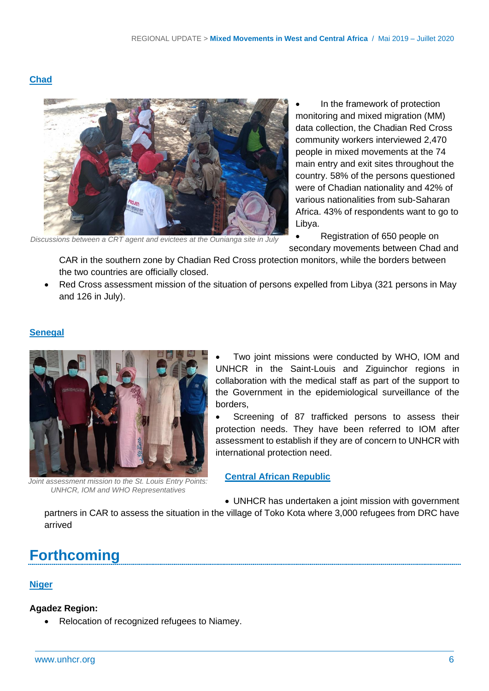#### **Chad**



*Discussions between a CRT agent and evictees at the Ounianga site in July*

In the framework of protection monitoring and mixed migration (MM) data collection, the Chadian Red Cross community workers interviewed 2,470 people in mixed movements at the 74 main entry and exit sites throughout the country. 58% of the persons questioned were of Chadian nationality and 42% of various nationalities from sub-Saharan Africa. 43% of respondents want to go to Libya.

• Registration of 650 people on secondary movements between Chad and

CAR in the southern zone by Chadian Red Cross protection monitors, while the borders between the two countries are officially closed.

• Red Cross assessment mission of the situation of persons expelled from Libya (321 persons in May and 126 in July).

#### **Senegal**



*Joint assessment mission to the St. Louis Entry Points: UNHCR, IOM and WHO Representatives*

Two joint missions were conducted by WHO, IOM and UNHCR in the Saint-Louis and Ziguinchor regions in collaboration with the medical staff as part of the support to the Government in the epidemiological surveillance of the borders,

Screening of 87 trafficked persons to assess their protection needs. They have been referred to IOM after assessment to establish if they are of concern to UNHCR with international protection need.

**Central African Republic**

• UNHCR has undertaken a joint mission with government

partners in CAR to assess the situation in the village of Toko Kota where 3,000 refugees from DRC have arrived

### **Forthcoming**

#### **Niger**

#### **Agadez Region:**

• Relocation of recognized refugees to Niamey.